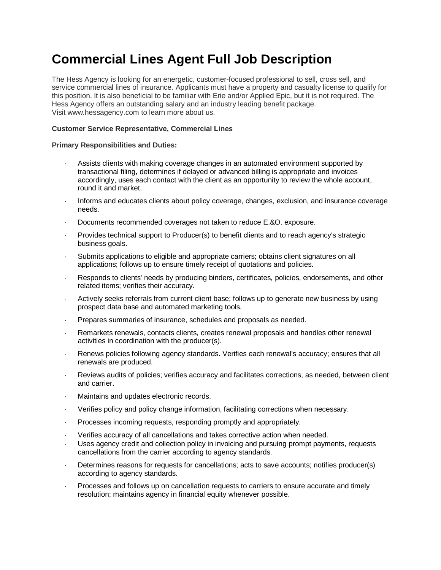## **Commercial Lines Agent Full Job Description**

The Hess Agency is looking for an energetic, customer-focused professional to sell, cross sell, and service commercial lines of insurance. Applicants must have a property and casualty license to qualify for this position. It is also beneficial to be familiar with Erie and/or Applied Epic, but it is not required. The Hess Agency offers an outstanding salary and an industry leading benefit package. Visit www.hessagency.com to learn more about us.

## **Customer Service Representative, Commercial Lines**

## **Primary Responsibilities and Duties:**

- Assists clients with making coverage changes in an automated environment supported by transactional filing, determines if delayed or advanced billing is appropriate and invoices accordingly, uses each contact with the client as an opportunity to review the whole account, round it and market.
- Informs and educates clients about policy coverage, changes, exclusion, and insurance coverage needs.
- Documents recommended coverages not taken to reduce E.&O. exposure.
- Provides technical support to Producer(s) to benefit clients and to reach agency's strategic business goals.
- Submits applications to eligible and appropriate carriers; obtains client signatures on all applications; follows up to ensure timely receipt of quotations and policies.
- Responds to clients' needs by producing binders, certificates, policies, endorsements, and other related items; verifies their accuracy.
- Actively seeks referrals from current client base; follows up to generate new business by using prospect data base and automated marketing tools.
- Prepares summaries of insurance, schedules and proposals as needed.
- Remarkets renewals, contacts clients, creates renewal proposals and handles other renewal activities in coordination with the producer(s).
- Renews policies following agency standards. Verifies each renewal's accuracy; ensures that all renewals are produced.
- Reviews audits of policies; verifies accuracy and facilitates corrections, as needed, between client and carrier.
- Maintains and updates electronic records.
- Verifies policy and policy change information, facilitating corrections when necessary.
- Processes incoming requests, responding promptly and appropriately.
- Verifies accuracy of all cancellations and takes corrective action when needed.
- Uses agency credit and collection policy in invoicing and pursuing prompt payments, requests cancellations from the carrier according to agency standards.
- Determines reasons for requests for cancellations; acts to save accounts; notifies producer(s) according to agency standards.
- Processes and follows up on cancellation requests to carriers to ensure accurate and timely resolution; maintains agency in financial equity whenever possible.